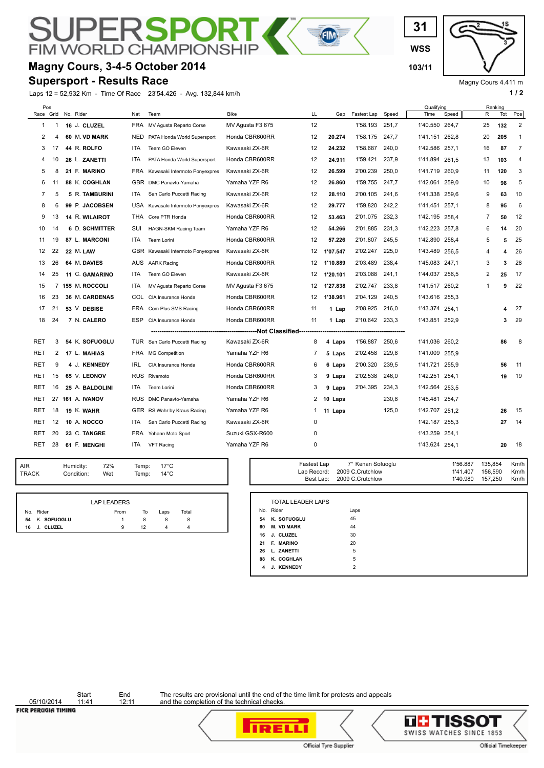PЕ RSPO **FIM WORLD CHAMPION** 

## **Magny Cours, 3-4-5 October 2014 103/11**

## **Supersport - Results Race**

Laps 12 = 52,932 Km - Time Of Race 23'54.426 - Avg. 132,844 km/h **1 and 2** 1 **1 and 2** 1 **1 a 1 1 a 1 1 a 1 1 a 1 1 a 1 1 a 1 1 a 1 1 a 1 1 a 1 1 a 1 a 1 1 a 1 a 1 a 1 a 1 a 1 a 1 a 1 a** 

**WSS 31**

Magny Cours 4.411 m

| Pos            |    |           |                   |            |                               |                  |    |          |                |       | Qualifying     |       |                | Ranking |     |
|----------------|----|-----------|-------------------|------------|-------------------------------|------------------|----|----------|----------------|-------|----------------|-------|----------------|---------|-----|
| Race Grid      |    | No. Rider |                   | Nat        | Team                          | <b>Bike</b>      | LL | Gap      | Fastest Lap    | Speed | Time           | Speed | R              | Tot     | Pos |
| 1              | 1  |           | 16 J. CLUZEL      |            | FRA MV Agusta Reparto Corse   | MV Agusta F3 675 | 12 |          | 1'58.193       | 251,7 | 1'40.550 264,7 |       | 25             | 132     | 2   |
| 2              | 4  |           | 60 M. VD MARK     | NED        | PATA Honda World Supersport   | Honda CBR600RR   | 12 | 20.274   | 1'58.175 247,7 |       | 1'41.151 262.8 |       | 20             | 205     | 1   |
| 3              | 17 |           | 44 R. ROLFO       | ITA        | Team GO Eleven                | Kawasaki ZX-6R   | 12 | 24.232   | 1'58.687       | 240,0 | 1'42.586 257,1 |       | 16             | 87      | 7   |
| 4              | 10 |           | 26 L. ZANETTI     | ITA        | PATA Honda World Supersport   | Honda CBR600RR   | 12 | 24.911   | 1'59.421       | 237,9 | 1'41.894 261.5 |       | 13             | 103     | 4   |
| 5              | 8  |           | 21 F. MARINO      | FRA        | Kawasaki Intermoto Ponyexpres | Kawasaki ZX-6R   | 12 | 26.599   | 2'00.239       | 250,0 | 1'41.719 260,9 |       | 11             | 120     | 3   |
| 6              | 11 |           | 88 K. COGHLAN     |            | GBR DMC Panavto-Yamaha        | Yamaha YZF R6    | 12 | 26.860   | 1'59.755       | 247,7 | 1'42.061 259.0 |       | 10             | 98      | 5   |
| $\overline{7}$ | 5  |           | 5 R. TAMBURINI    | ITA        | San Carlo Puccetti Racing     | Kawasaki ZX-6R   | 12 | 28.110   | 2'00.105       | 241.6 | 1'41.338 259,6 |       | 9              | 63      | 10  |
| 8              | 6  |           | 99 P. JACOBSEN    | USA        | Kawasaki Intermoto Ponyexpres | Kawasaki ZX-6R   | 12 | 29.777   | 1'59.820       | 242,2 | 1'41.451 257,1 |       | 8              | 95      | 6   |
| 9              | 13 |           | 14 R. WILAIROT    | THA        | Core PTR Honda                | Honda CBR600RR   | 12 | 53.463   | 2'01.075       | 232.3 | 1'42.195 258.4 |       | $\overline{7}$ | 50      | 12  |
| 10             | 14 |           | 6 D. SCHMITTER    | SUI        | <b>HAGN-SKM Racing Team</b>   | Yamaha YZF R6    | 12 | 54.266   | 2'01.885       | 231,3 | 1'42.223 257.8 |       | 6              | 14      | 20  |
| 11             | 19 |           | 87 L. MARCONI     | <b>ITA</b> | Team Lorini                   | Honda CBR600RR   | 12 | 57.226   | 2'01.807       | 245.5 | 1'42.890 258.4 |       | 5              | 5       | 25  |
| 12             | 22 |           | 22 M. LAW         | GBR        | Kawasaki Intermoto Ponyexpres | Kawasaki ZX-6R   | 12 | 1'07.547 | 2'02.247       | 225,0 | 1'43.489 256,5 |       | 4              | 4       | 26  |
| 13             | 26 |           | 64 M. DAVIES      |            | AUS AARK Racing               | Honda CBR600RR   | 12 | 1'10.889 | 2'03.489       | 238.4 | 1'45.083 247,1 |       | 3              | 3       | 28  |
| 14             | 25 |           | 11 C. GAMARINO    | ITA        | Team GO Eleven                | Kawasaki ZX-6R   | 12 | 1'20.101 | 2'03.088       | 241,1 | 1'44.037 256,5 |       | 2              | 25      | 17  |
| 15             |    |           | 7 155 M. ROCCOLI  | ITA        | MV Agusta Reparto Corse       | MV Agusta F3 675 | 12 | 1'27.838 | 2'02.747       | 233.8 | 1'41.517 260,2 |       | $\mathbf{1}$   | 9       | 22  |
| 16             | 23 |           | 36 M. CARDENAS    | COL.       | CIA Insurance Honda           | Honda CBR600RR   | 12 | 1'38.961 | 2'04.129       | 240,5 | 1'43.616 255,3 |       |                |         |     |
| 17             | 21 |           | 53 V. DEBISE      | <b>FRA</b> | Com Plus SMS Racing           | Honda CBR600RR   | 11 | 1 Lap    | 2'08.925       | 216,0 | 1'43.374 254.1 |       |                | 4       | 27  |
| 18             | 24 |           | 7 N. CALERO       | ESP        | CIA Insurance Honda           | Honda CBR600RR   | 11 | 1 Lap    | 2'10.642 233,3 |       | 1'43.851 252,9 |       |                | 3       | 29  |
|                |    |           |                   |            |                               |                  |    |          |                |       |                |       |                |         |     |
| <b>RET</b>     | 3  |           | 54 K. SOFUOGLU    | TUR        | San Carlo Puccetti Racing     | Kawasaki ZX-6R   | 8  | 4 Laps   | 1'56.887       | 250.6 | 1'41.036 260.2 |       |                | 86      | 8   |
| RET            | 2  |           | 17 L. MAHIAS      |            | FRA MG Competition            | Yamaha YZF R6    | 7  | 5 Laps   | 2'02.458       | 229,8 | 1'41.009 255,9 |       |                |         |     |
| <b>RET</b>     | 9  |           | 4 J. KENNEDY      | IRL.       | CIA Insurance Honda           | Honda CBR600RR   | 6  | 6 Laps   | 2'00.320       | 239,5 | 1'41.721 255,9 |       |                | 56      | 11  |
| RET            | 15 |           | 65 V. LEONOV      |            | RUS Rivamoto                  | Honda CBR600RR   | 3  | 9 Laps   | 2'02.538       | 246,0 | 1'42.251 254,1 |       |                | 19      | 19  |
| RET            | 16 |           | 25 A. BALDOLINI   | <b>ITA</b> | <b>Team Lorini</b>            | Honda CBR600RR   | 3  | 9 Laps   | 2'04.395       | 234,3 | 1'42.564 253.5 |       |                |         |     |
| RET            | 27 |           | 161 A. IVANOV     | <b>RUS</b> | DMC Panavto-Yamaha            | Yamaha YZF R6    | 2  | 10 Laps  |                | 230,8 | 1'45.481 254,7 |       |                |         |     |
| RET            | 18 |           | <b>19 K. WAHR</b> |            | GER RS Wahr by Kraus Racing   | Yamaha YZF R6    | 1  | 11 Laps  |                | 125,0 | 1'42.707 251,2 |       |                | 26      | 15  |
| RET            | 12 |           | 10 A. NOCCO       | ITA        | San Carlo Puccetti Racing     | Kawasaki ZX-6R   | 0  |          |                |       | 1'42.187 255,3 |       |                | 27      | -14 |
| RET            | 20 |           | 23 C. TANGRE      | <b>FRA</b> | Yohann Moto Sport             | Suzuki GSX-R600  | 0  |          |                |       | 1'43.259 254.1 |       |                |         |     |
| RET            | 28 |           | 61 F. MENGHI      | ITA.       | <b>VFT Racing</b>             | Yamaha YZF R6    | 0  |          |                |       | 1'43.624 254.1 |       |                | 20      | 18  |
|                |    |           |                   |            |                               |                  |    |          |                |       |                |       |                |         |     |

FOR

| <b>AIR</b><br><b>TRACK</b> | Humidity:<br>Condition: | 72%<br>Wet         | Temp:<br>Temp: | $17^{\circ}$ C<br>$14^{\circ}$ C |       |  |
|----------------------------|-------------------------|--------------------|----------------|----------------------------------|-------|--|
|                            |                         |                    |                |                                  |       |  |
|                            |                         | <b>LAP LEADERS</b> |                |                                  |       |  |
| No. Rider                  |                         | From               | To             | Laps                             | Total |  |
| K. SOFUOGLU<br>54          |                         | 1                  | 8              | 8                                | 8     |  |
| J. CLUZEL<br>16            |                         | 9                  | 12             | 4                                | 4     |  |

| .<br>Temp: | $14^{\circ}$ C |       |                          | Lap Record: 2009 C.Crutchlow<br>Best Lap: 2009 C.Crutchlow | 1'41.407<br>1'40.980 | 156,590<br>157,250 | Km/h<br>Km/h |
|------------|----------------|-------|--------------------------|------------------------------------------------------------|----------------------|--------------------|--------------|
|            |                |       | <b>TOTAL LEADER LAPS</b> |                                                            |                      |                    |              |
| To         |                | Total | No. Rider                | Laps                                                       |                      |                    |              |
| 8          | Laps<br>8      | 8     | 54 K. SOFUOGLU           | 45                                                         |                      |                    |              |
| 12         | 4              | 4     | 60 M. VD MARK            | 44                                                         |                      |                    |              |
|            |                |       | 16 J. CLUZEL             | 30                                                         |                      |                    |              |
|            |                |       | 21 F. MARINO             | 20                                                         |                      |                    |              |
|            |                |       | 26 L. ZANETTI            | 5                                                          |                      |                    |              |
|            |                |       | 88 K. COGHLAN            | 5                                                          |                      |                    |              |
|            |                |       | 4 J. KENNEDY             | $\overline{2}$                                             |                      |                    |              |
|            |                |       |                          |                                                            |                      |                    |              |

Fastest Lap 7° Kenan Sofuoglu 1'56.887 135,854 Km/h

Start End<br>11:41 12:11 05/10/2014<br>FICR PERUGIA TIMING

The results are provisional until the end of the time limit for protests and appeals and the completion of the technical checks.